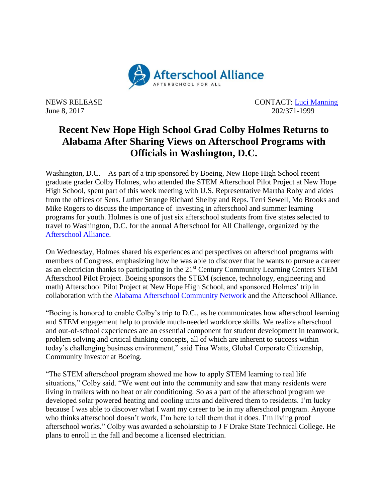

NEWS RELEASE CONTACT: [Luci Manning](mailto:luci@prsolutionsdc.com) June 8, 2017 202/371-1999

## **Recent New Hope High School Grad Colby Holmes Returns to Alabama After Sharing Views on Afterschool Programs with Officials in Washington, D.C.**

Washington, D.C. – As part of a trip sponsored by Boeing, New Hope High School recent graduate grader Colby Holmes, who attended the STEM Afterschool Pilot Project at New Hope High School, spent part of this week meeting with U.S. Representative Martha Roby and aides from the offices of Sens. Luther Strange Richard Shelby and Reps. Terri Sewell, Mo Brooks and Mike Rogers to discuss the importance of investing in afterschool and summer learning programs for youth. Holmes is one of just six afterschool students from five states selected to travel to Washington, D.C. for the annual Afterschool for All Challenge, organized by the [Afterschool Alliance.](http://www.afterschoolalliance.org/)

On Wednesday, Holmes shared his experiences and perspectives on afterschool programs with members of Congress, emphasizing how he was able to discover that he wants to pursue a career as an electrician thanks to participating in the 21st Century Community Learning Centers STEM Afterschool Pilot Project. Boeing sponsors the STEM (science, technology, engineering and math) Afterschool Pilot Project at New Hope High School, and sponsored Holmes' trip in collaboration with the [Alabama Afterschool Community Network](http://alabamaacn.org/) and the Afterschool Alliance.

"Boeing is honored to enable Colby's trip to D.C., as he communicates how afterschool learning and STEM engagement help to provide much-needed workforce skills. We realize afterschool and out-of-school experiences are an essential component for student development in teamwork, problem solving and critical thinking concepts, all of which are inherent to success within today's challenging business environment," said Tina Watts, Global Corporate Citizenship, Community Investor at Boeing.

"The STEM afterschool program showed me how to apply STEM learning to real life situations," Colby said. "We went out into the community and saw that many residents were living in trailers with no heat or air conditioning. So as a part of the afterschool program we developed solar powered heating and cooling units and delivered them to residents. I'm lucky because I was able to discover what I want my career to be in my afterschool program. Anyone who thinks afterschool doesn't work, I'm here to tell them that it does. I'm living proof afterschool works." Colby was awarded a scholarship to J F Drake State Technical College. He plans to enroll in the fall and become a licensed electrician.